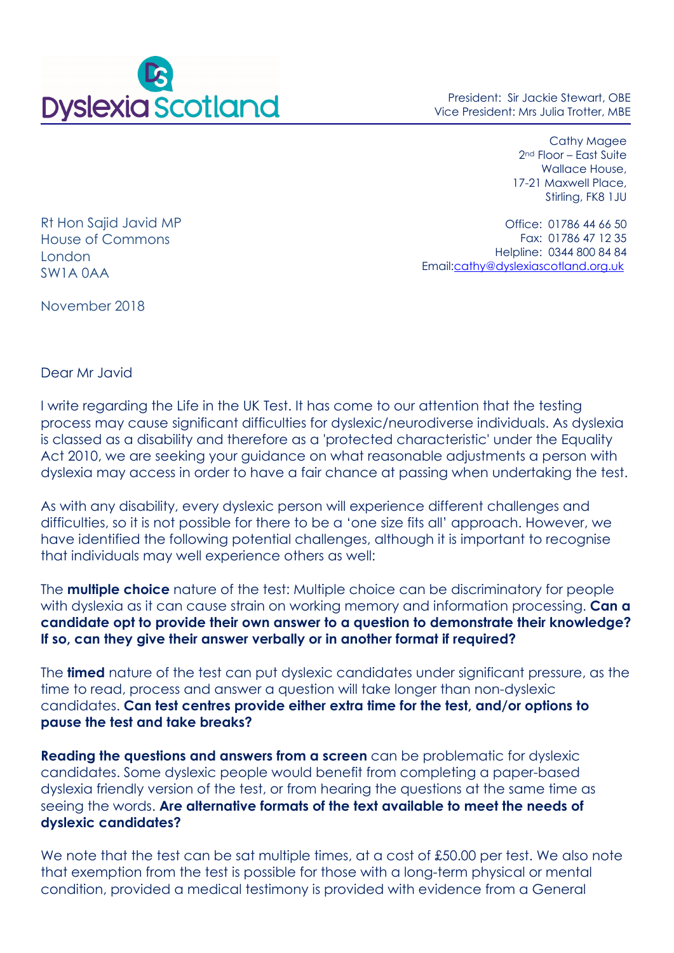

President: Sir Jackie Stewart, OBE Vice President: Mrs Julia Trotter, MBE

> Cathy Magee 2nd Floor – East Suite Wallace House, 17-21 Maxwell Place, Stirling, FK8 1JU

Rt Hon Sajid Javid MP House of Commons London SW1A 0AA

Office: 01786 44 66 50 Fax: 01786 47 12 35 Helpline: 0344 800 84 84 Email:cathy@dyslexiascotland.org.uk

November 2018

Dear Mr Javid

I write regarding the Life in the UK Test. It has come to our attention that the testing process may cause significant difficulties for dyslexic/neurodiverse individuals. As dyslexia is classed as a disability and therefore as a 'protected characteristic' under the Equality Act 2010, we are seeking your guidance on what reasonable adjustments a person with dyslexia may access in order to have a fair chance at passing when undertaking the test.

As with any disability, every dyslexic person will experience different challenges and difficulties, so it is not possible for there to be a 'one size fits all' approach. However, we have identified the following potential challenges, although it is important to recognise that individuals may well experience others as well:

The **multiple choice** nature of the test: Multiple choice can be discriminatory for people with dyslexia as it can cause strain on working memory and information processing. **Can a candidate opt to provide their own answer to a question to demonstrate their knowledge? If so, can they give their answer verbally or in another format if required?** 

The **timed** nature of the test can put dyslexic candidates under significant pressure, as the time to read, process and answer a question will take longer than non-dyslexic candidates. **Can test centres provide either extra time for the test, and/or options to pause the test and take breaks?** 

**Reading the questions and answers from a screen** can be problematic for dyslexic candidates. Some dyslexic people would benefit from completing a paper-based dyslexia friendly version of the test, or from hearing the questions at the same time as seeing the words. **Are alternative formats of the text available to meet the needs of dyslexic candidates?**

We note that the test can be sat multiple times, at a cost of £50.00 per test. We also note that exemption from the test is possible for those with a long-term physical or mental condition, provided a medical testimony is provided with evidence from a General